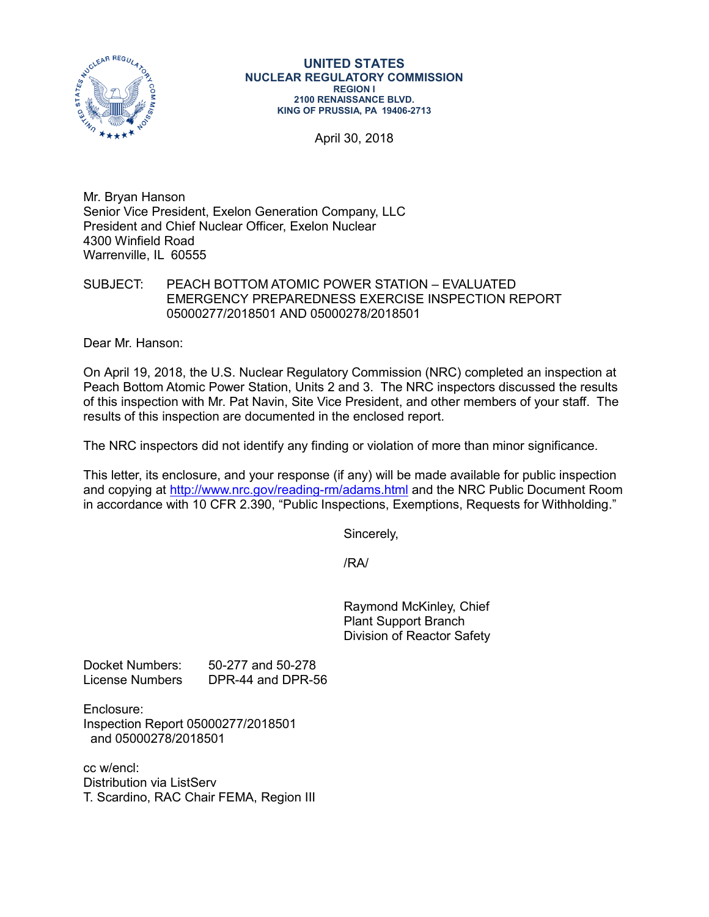

#### **UNITED STATES NUCLEAR REGULATORY COMMISSION REGION I 2100 RENAISSANCE BLVD. KING OF PRUSSIA, PA 19406-2713**

April 30, 2018

Mr. Bryan Hanson Senior Vice President, Exelon Generation Company, LLC President and Chief Nuclear Officer, Exelon Nuclear 4300 Winfield Road Warrenville, IL 60555

SUBJECT: PEACH BOTTOM ATOMIC POWER STATION – EVALUATED EMERGENCY PREPAREDNESS EXERCISE INSPECTION REPORT 05000277/2018501 AND 05000278/2018501

Dear Mr. Hanson:

On April 19, 2018, the U.S. Nuclear Regulatory Commission (NRC) completed an inspection at Peach Bottom Atomic Power Station, Units 2 and 3. The NRC inspectors discussed the results of this inspection with Mr. Pat Navin, Site Vice President, and other members of your staff. The results of this inspection are documented in the enclosed report.

The NRC inspectors did not identify any finding or violation of more than minor significance.

This letter, its enclosure, and your response (if any) will be made available for public inspection and copying at<http://www.nrc.gov/reading-rm/adams.html> and the NRC Public Document Room in accordance with 10 CFR 2.390, "Public Inspections, Exemptions, Requests for Withholding."

Sincerely,

/RA/

Raymond McKinley, Chief Plant Support Branch Division of Reactor Safety

Docket Numbers: 50-277 and 50-278 License Numbers DPR-44 and DPR-56

Enclosure: Inspection Report 05000277/2018501 and 05000278/2018501

cc w/encl: Distribution via ListServ T. Scardino, RAC Chair FEMA, Region III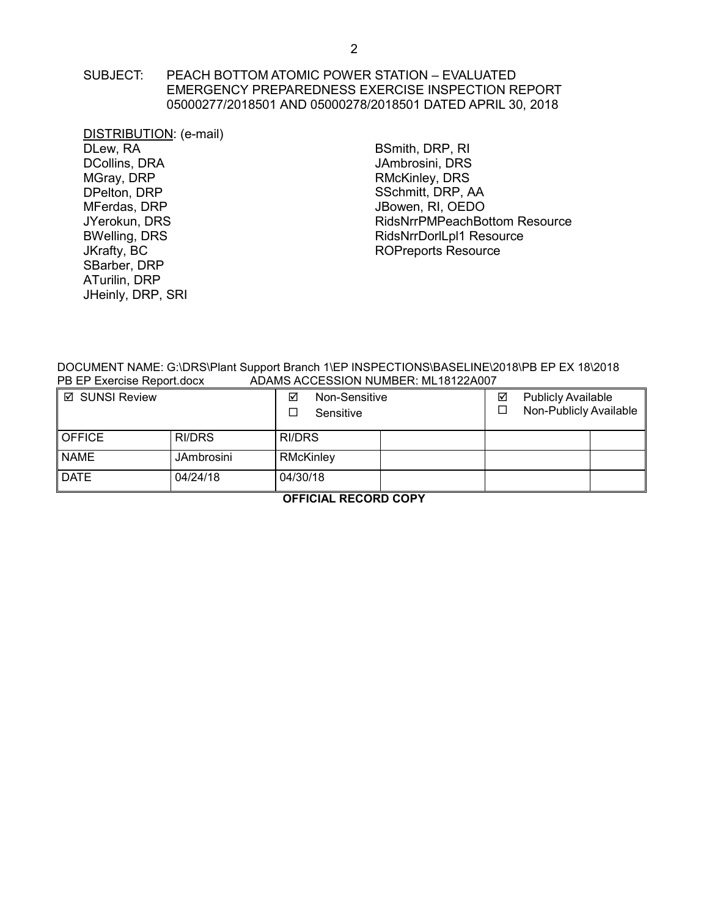### SUBJECT: PEACH BOTTOM ATOMIC POWER STATION – EVALUATED EMERGENCY PREPAREDNESS EXERCISE INSPECTION REPORT 05000277/2018501 AND 05000278/2018501 DATED APRIL 30, 2018

DISTRIBUTION: (e-mail) DLew, RA DCollins, DRA MGray, DRP DPelton, DRP MFerdas, DRP JYerokun, DRS BWelling, DRS JKrafty, BC SBarber, DRP ATurilin, DRP JHeinly, DRP, SRI

BSmith, DRP, RI JAmbrosini, DRS RMcKinley, DRS SSchmitt, DRP, AA JBowen, RI, OEDO RidsNrrPMPeachBottom Resource RidsNrrDorlLpl1 Resource [ROPreports Reso](mailto:ROPreportsResource@nrc.gov)urce

DOCUMENT NAME: G:\DRS\Plant Support Branch 1\EP INSPECTIONS\BASELINE\2018\PB EP EX 18\2018<br>PB EP Exercise Report.docx 4DAMS ACCESSION NUMBER: ML18122A007 ADAMS ACCESSION NUMBER: ML18122A007

| <b>Ø SUNSI Review</b> |                   | ☑<br>Non-Sensitive<br>Sensitive | ☑ | <b>Publicly Available</b><br>Non-Publicly Available |  |
|-----------------------|-------------------|---------------------------------|---|-----------------------------------------------------|--|
| <b>OFFICE</b>         | RI/DRS            | RI/DRS                          |   |                                                     |  |
| <b>NAME</b>           | <b>JAmbrosini</b> | RMcKinley                       |   |                                                     |  |
| <b>DATE</b>           | 04/24/18          | 04/30/18                        |   |                                                     |  |

**OFFICIAL RECORD COPY**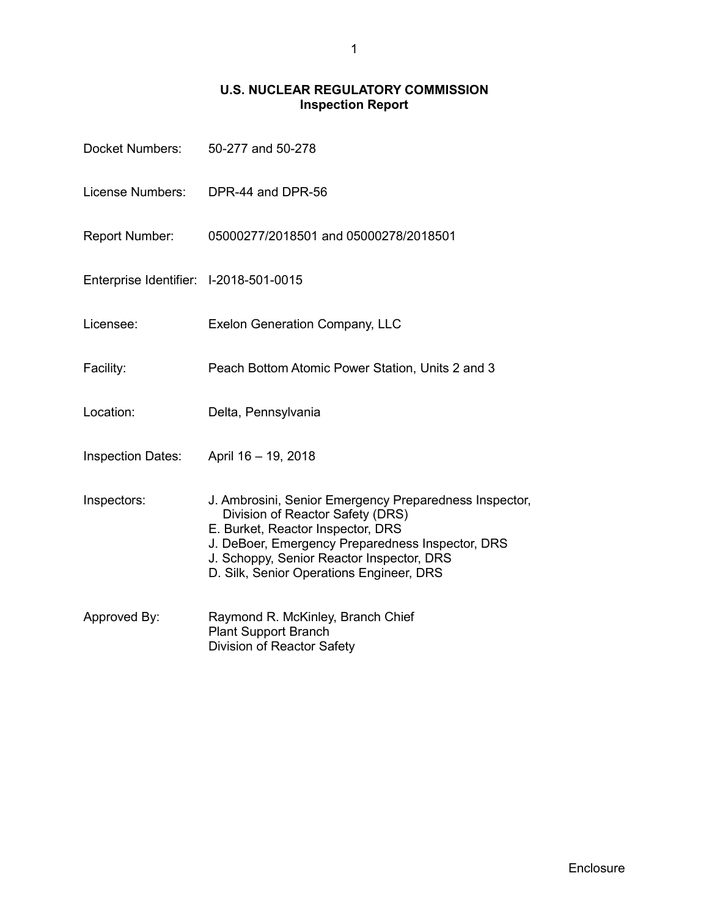# **U.S. NUCLEAR REGULATORY COMMISSION Inspection Report**

| Docket Numbers:                        | 50-277 and 50-278                                                                                                                                                                                                                                                            |  |
|----------------------------------------|------------------------------------------------------------------------------------------------------------------------------------------------------------------------------------------------------------------------------------------------------------------------------|--|
| License Numbers:                       | DPR-44 and DPR-56                                                                                                                                                                                                                                                            |  |
| Report Number:                         | 05000277/2018501 and 05000278/2018501                                                                                                                                                                                                                                        |  |
| Enterprise Identifier: I-2018-501-0015 |                                                                                                                                                                                                                                                                              |  |
| Licensee:                              | <b>Exelon Generation Company, LLC</b>                                                                                                                                                                                                                                        |  |
| Facility:                              | Peach Bottom Atomic Power Station, Units 2 and 3                                                                                                                                                                                                                             |  |
| Location:                              | Delta, Pennsylvania                                                                                                                                                                                                                                                          |  |
| <b>Inspection Dates:</b>               | April 16 - 19, 2018                                                                                                                                                                                                                                                          |  |
| Inspectors:                            | J. Ambrosini, Senior Emergency Preparedness Inspector,<br>Division of Reactor Safety (DRS)<br>E. Burket, Reactor Inspector, DRS<br>J. DeBoer, Emergency Preparedness Inspector, DRS<br>J. Schoppy, Senior Reactor Inspector, DRS<br>D. Silk, Senior Operations Engineer, DRS |  |
| Approved By:                           | Raymond R. McKinley, Branch Chief<br><b>Plant Support Branch</b><br>Division of Reactor Safety                                                                                                                                                                               |  |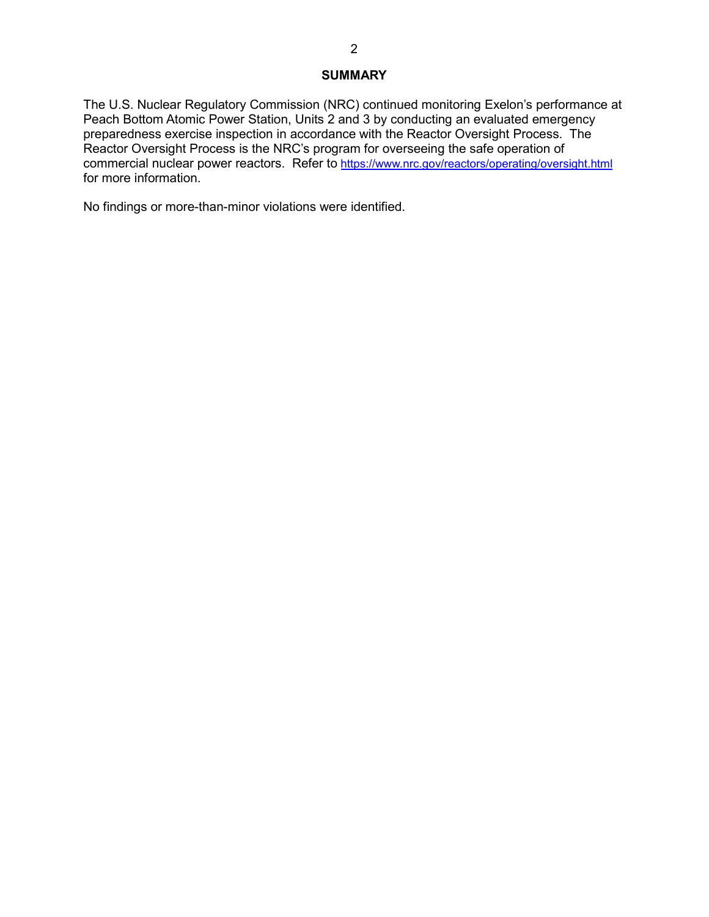### **SUMMARY**

The U.S. Nuclear Regulatory Commission (NRC) continued monitoring Exelon's performance at Peach Bottom Atomic Power Station, Units 2 and 3 by conducting an evaluated emergency preparedness exercise inspection in accordance with the Reactor Oversight Process. The Reactor Oversight Process is the NRC's program for overseeing the safe operation of commercial nuclear power reactors. Refer to <https://www.nrc.gov/reactors/operating/oversight.html> for more information.

No findings or more-than-minor violations were identified.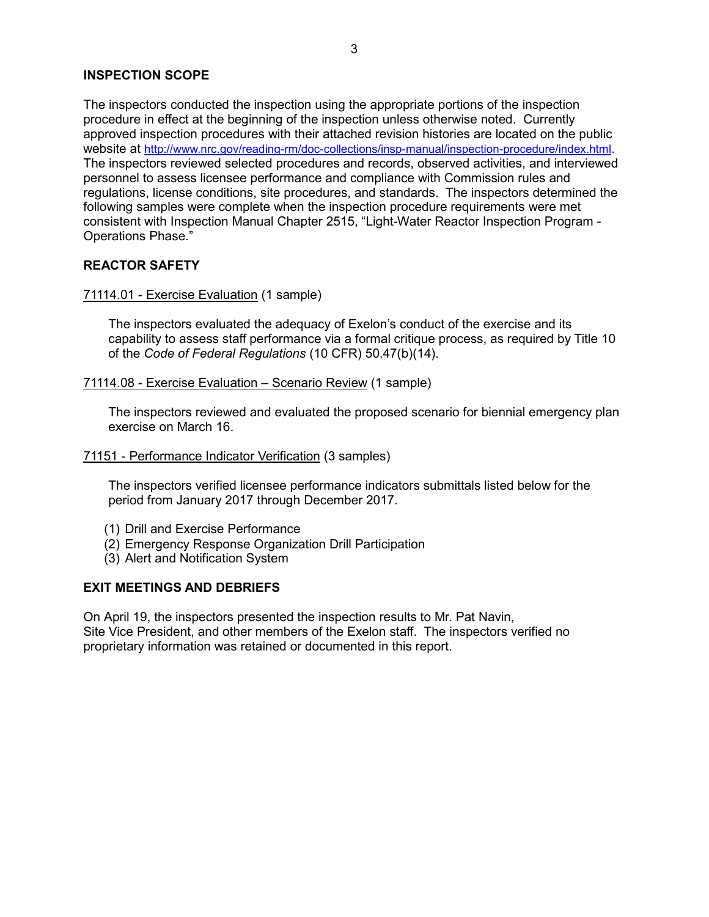## **INSPECTION SCOPE**

The inspectors conducted the inspection using the appropriate portions of the inspection procedure in effect at the beginning of the inspection unless otherwise noted. Currently approved inspection procedures with their attached revision histories are located on the public website at [http://www.nrc.gov/reading-rm/doc-collections/insp-manual/inspection-procedure/index.html.](http://www.nrc.gov/reading-rm/doc-collections/insp-manual/inspection-procedure/index.html) The inspectors reviewed selected procedures and records, observed activities, and interviewed personnel to assess licensee performance and compliance with Commission rules and regulations, license conditions, site procedures, and standards. The inspectors determined the following samples were complete when the inspection procedure requirements were met consistent with Inspection Manual Chapter 2515, "Light-Water Reactor Inspection Program - Operations Phase."

### **REACTOR SAFETY**

#### 71114.01 - Exercise Evaluation (1 sample)

The inspectors evaluated the adequacy of Exelon's conduct of the exercise and its capability to assess staff performance via a formal critique process, as required by Title 10 of the *Code of Federal Regulations* (10 CFR) 50.47(b)(14).

#### 71114.08 - Exercise Evaluation – Scenario Review (1 sample)

The inspectors reviewed and evaluated the proposed scenario for biennial emergency plan exercise on March 16.

#### 71151 - Performance Indicator Verification (3 samples)

The inspectors verified licensee performance indicators submittals listed below for the period from January 2017 through December 2017.

- (1) Drill and Exercise Performance
- (2) Emergency Response Organization Drill Participation
- (3) Alert and Notification System

### **EXIT MEETINGS AND DEBRIEFS**

On April 19, the inspectors presented the inspection results to Mr. Pat Navin, Site Vice President, and other members of the Exelon staff. The inspectors verified no proprietary information was retained or documented in this report.